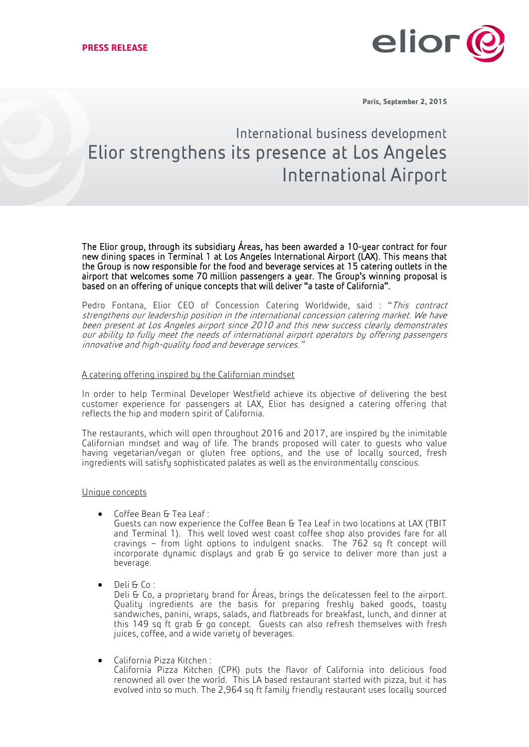

**Paris, September 2, 2015**

# International business development Elior strengthens its presence at Los Angeles International Airport

The Elior group, through its subsidiary Áreas, has been awarded a 10-year contract for four new dining spaces in Terminal 1 at Los Angeles International Airport (LAX). This means that the Group is now responsible for the food and beverage services at 15 catering outlets in the airport that welcomes some 70 million passengers a year. The Group's winning proposal is based on an offering of unique concepts that will deliver "a taste of California".

Pedro Fontana, Elior CEO of Concession Catering Worldwide, said : "This contract strengthens our leadership position in the international concession catering market. We have been present at Los Angeles airport since 2010 and this new success clearly demonstrates our ability to fully meet the needs of international airport operators by offering passengers innovative and high-quality food and beverage services."

## A catering offering inspired by the Californian mindset

In order to help Terminal Developer Westfield achieve its objective of delivering the best customer experience for passengers at LAX, Elior has designed a catering offering that reflects the hip and modern spirit of California.

The restaurants, which will open throughout 2016 and 2017, are inspired by the inimitable Californian mindset and way of life. The brands proposed will cater to guests who value having vegetarian/vegan or gluten free options, and the use of locally sourced, fresh ingredients will satisfy sophisticated palates as well as the environmentally conscious.

## Unique concepts

Coffee Bean & Tea Leaf :

Guests can now experience the Coffee Bean & Tea Leaf in two locations at LAX (TBIT and Terminal 1). This well loved west coast coffee shop also provides fare for all cravings – from light options to indulgent snacks. The 762 sq ft concept will incorporate dynamic displays and grab  $\overline{b}$  go service to deliver more than just a beverage.

Deli & Co :

Deli & Co, a proprietary brand for Áreas, brings the delicatessen feel to the airport. Quality ingredients are the basis for preparing freshly baked goods, toasty sandwiches, panini, wraps, salads, and flatbreads for breakfast, lunch, and dinner at this 149 sq ft grab & go concept. Guests can also refresh themselves with fresh juices, coffee, and a wide variety of beverages.

California Pizza Kitchen :

California Pizza Kitchen (CPK) puts the flavor of California into delicious food renowned all over the world. This LA based restaurant started with pizza, but it has evolved into so much. The 2,964 sq ft family friendly restaurant uses locally sourced